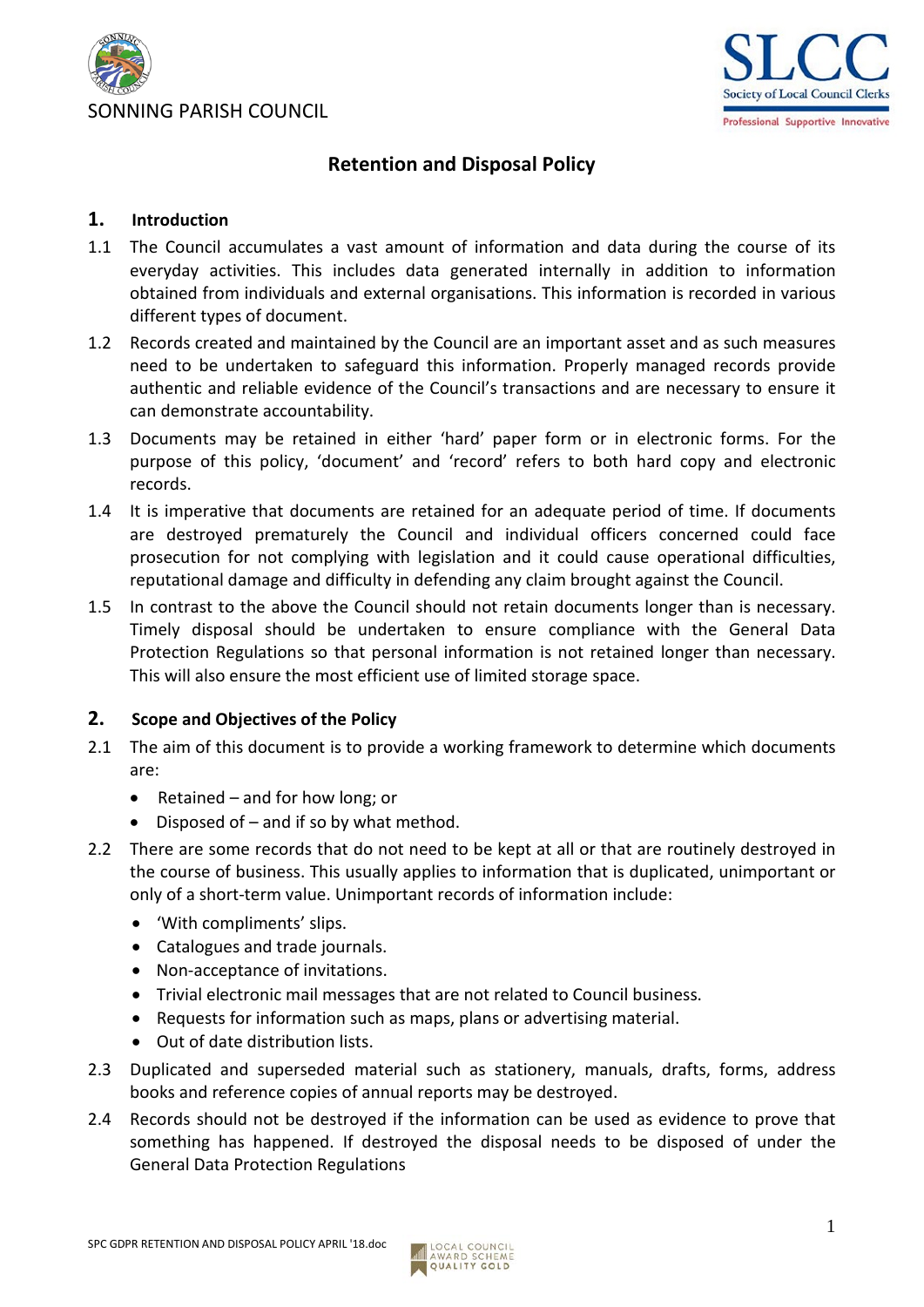



# **Retention and Disposal Policy**

### **1. Introduction**

- 1.1 The Council accumulates a vast amount of information and data during the course of its everyday activities. This includes data generated internally in addition to information obtained from individuals and external organisations. This information is recorded in various different types of document.
- 1.2 Records created and maintained by the Council are an important asset and as such measures need to be undertaken to safeguard this information. Properly managed records provide authentic and reliable evidence of the Council's transactions and are necessary to ensure it can demonstrate accountability.
- 1.3 Documents may be retained in either 'hard' paper form or in electronic forms. For the purpose of this policy, 'document' and 'record' refers to both hard copy and electronic records.
- 1.4 It is imperative that documents are retained for an adequate period of time. If documents are destroyed prematurely the Council and individual officers concerned could face prosecution for not complying with legislation and it could cause operational difficulties, reputational damage and difficulty in defending any claim brought against the Council.
- 1.5 In contrast to the above the Council should not retain documents longer than is necessary. Timely disposal should be undertaken to ensure compliance with the General Data Protection Regulations so that personal information is not retained longer than necessary. This will also ensure the most efficient use of limited storage space.

### **2. Scope and Objectives of the Policy**

- 2.1 The aim of this document is to provide a working framework to determine which documents are:
	- Retained and for how long; or
	- Disposed of  $-$  and if so by what method.
- 2.2 There are some records that do not need to be kept at all or that are routinely destroyed in the course of business. This usually applies to information that is duplicated, unimportant or only of a short-term value. Unimportant records of information include:
	- 'With compliments' slips.
	- Catalogues and trade journals.
	- Non-acceptance of invitations.
	- Trivial electronic mail messages that are not related to Council business.
	- Requests for information such as maps, plans or advertising material.
	- Out of date distribution lists.
- 2.3 Duplicated and superseded material such as stationery, manuals, drafts, forms, address books and reference copies of annual reports may be destroyed.
- 2.4 Records should not be destroyed if the information can be used as evidence to prove that something has happened. If destroyed the disposal needs to be disposed of under the General Data Protection Regulations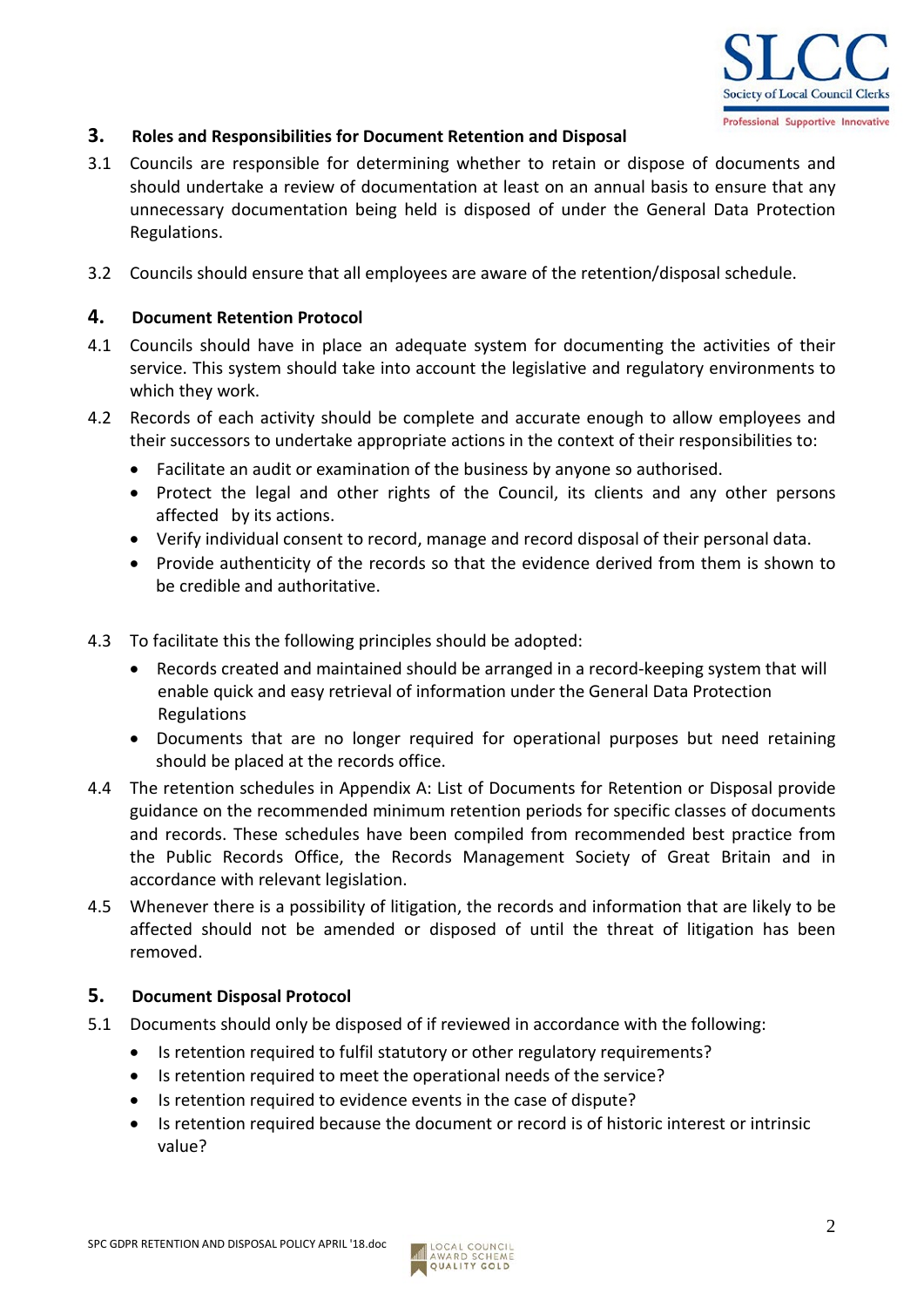

### **3. Roles and Responsibilities for Document Retention and Disposal**

- 3.1 Councils are responsible for determining whether to retain or dispose of documents and should undertake a review of documentation at least on an annual basis to ensure that any unnecessary documentation being held is disposed of under the General Data Protection Regulations.
- 3.2 Councils should ensure that all employees are aware of the retention/disposal schedule.

#### **4. Document Retention Protocol**

- 4.1 Councils should have in place an adequate system for documenting the activities of their service. This system should take into account the legislative and regulatory environments to which they work.
- 4.2 Records of each activity should be complete and accurate enough to allow employees and their successors to undertake appropriate actions in the context of their responsibilities to:
	- Facilitate an audit or examination of the business by anyone so authorised.
	- Protect the legal and other rights of the Council, its clients and any other persons affected by its actions.
	- Verify individual consent to record, manage and record disposal of their personal data.
	- Provide authenticity of the records so that the evidence derived from them is shown to be credible and authoritative.
- 4.3 To facilitate this the following principles should be adopted:
	- Records created and maintained should be arranged in a record-keeping system that will enable quick and easy retrieval of information under the General Data Protection Regulations
	- Documents that are no longer required for operational purposes but need retaining should be placed at the records office.
- 4.4 The retention schedules in Appendix A: List of Documents for Retention or Disposal provide guidance on the recommended minimum retention periods for specific classes of documents and records. These schedules have been compiled from recommended best practice from the Public Records Office, the Records Management Society of Great Britain and in accordance with relevant legislation.
- 4.5 Whenever there is a possibility of litigation, the records and information that are likely to be affected should not be amended or disposed of until the threat of litigation has been removed.

### **5. Document Disposal Protocol**

- 5.1 Documents should only be disposed of if reviewed in accordance with the following:
	- Is retention required to fulfil statutory or other regulatory requirements?
	- Is retention required to meet the operational needs of the service?
	- Is retention required to evidence events in the case of dispute?
	- Is retention required because the document or record is of historic interest or intrinsic value?

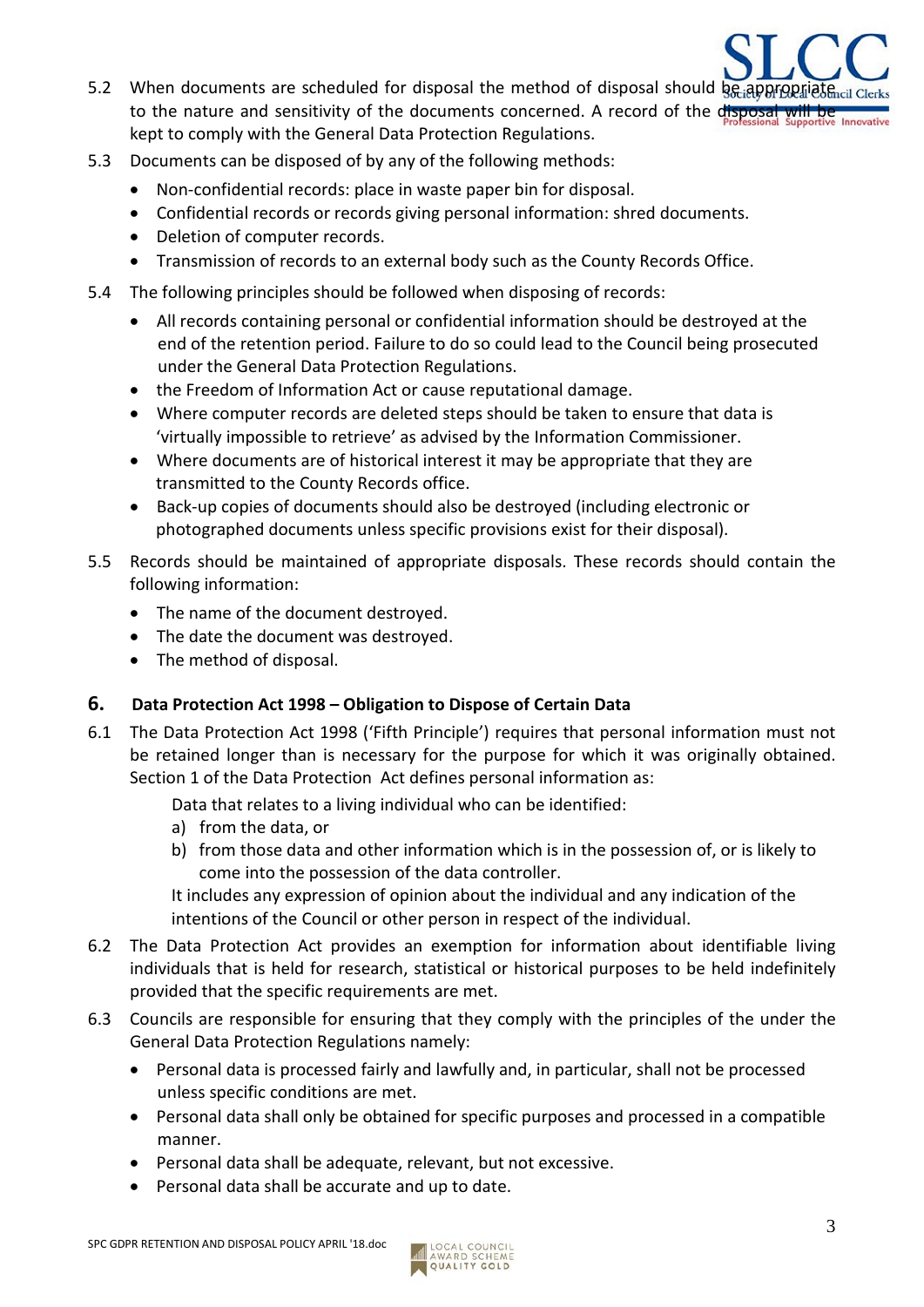- 5.2 When documents are scheduled for disposal the method of disposal should be appropriated to the nature and sensitivity of the documents concerned. A record of the disposal kept to comply with the General Data Protection Regulations.
- 5.3 Documents can be disposed of by any of the following methods:
	- Non-confidential records: place in waste paper bin for disposal.
	- Confidential records or records giving personal information: shred documents.
	- Deletion of computer records.
	- Transmission of records to an external body such as the County Records Office.
- 5.4 The following principles should be followed when disposing of records:
	- All records containing personal or confidential information should be destroyed at the end of the retention period. Failure to do so could lead to the Council being prosecuted under the General Data Protection Regulations.
	- the Freedom of Information Act or cause reputational damage.
	- Where computer records are deleted steps should be taken to ensure that data is 'virtually impossible to retrieve' as advised by the Information Commissioner.
	- Where documents are of historical interest it may be appropriate that they are transmitted to the County Records office.
	- Back-up copies of documents should also be destroyed (including electronic or photographed documents unless specific provisions exist for their disposal).
- 5.5 Records should be maintained of appropriate disposals. These records should contain the following information:
	- The name of the document destroyed.
	- The date the document was destroyed.
	- The method of disposal.

### **6. Data Protection Act 1998 – Obligation to Dispose of Certain Data**

6.1 The Data Protection Act 1998 ('Fifth Principle') requires that personal information must not be retained longer than is necessary for the purpose for which it was originally obtained. Section 1 of the Data Protection Act defines personal information as:

Data that relates to a living individual who can be identified:

- a) from the data, or
- b) from those data and other information which is in the possession of, or is likely to come into the possession of the data controller.

It includes any expression of opinion about the individual and any indication of the intentions of the Council or other person in respect of the individual.

- 6.2 The Data Protection Act provides an exemption for information about identifiable living individuals that is held for research, statistical or historical purposes to be held indefinitely provided that the specific requirements are met.
- 6.3 Councils are responsible for ensuring that they comply with the principles of the under the General Data Protection Regulations namely:
	- Personal data is processed fairly and lawfully and, in particular, shall not be processed unless specific conditions are met.
	- Personal data shall only be obtained for specific purposes and processed in a compatible manner.
	- Personal data shall be adequate, relevant, but not excessive.
	- Personal data shall be accurate and up to date.